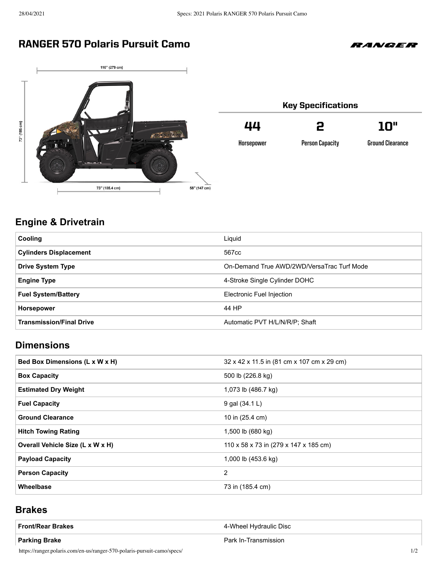### RANGER 570 Polaris Pursuit Camo



#### Key Specifications 44 2 10"

**Horsepower**

**Person Capacity** 

**Ground Clearance** 

*RANGER* 

# **Engine & Drivetrain**

| <b>Cooling</b>                  | Liquid                                     |
|---------------------------------|--------------------------------------------|
| <b>Cylinders Displacement</b>   | 567cc                                      |
| <b>Drive System Type</b>        | On-Demand True AWD/2WD/VersaTrac Turf Mode |
| <b>Engine Type</b>              | 4-Stroke Single Cylinder DOHC              |
| <b>Fuel System/Battery</b>      | Electronic Fuel Injection                  |
| <b>Horsepower</b>               | 44 HP                                      |
| <b>Transmission/Final Drive</b> | Automatic PVT H/L/N/R/P; Shaft             |

### **Dimensions**

| Bed Box Dimensions (L x W x H)   | 32 x 42 x 11.5 in (81 cm x 107 cm x 29 cm) |
|----------------------------------|--------------------------------------------|
| <b>Box Capacity</b>              | 500 lb (226.8 kg)                          |
| <b>Estimated Dry Weight</b>      | 1,073 lb (486.7 kg)                        |
| <b>Fuel Capacity</b>             | 9 gal (34.1 L)                             |
| <b>Ground Clearance</b>          | 10 in (25.4 cm)                            |
| <b>Hitch Towing Rating</b>       | 1,500 lb (680 kg)                          |
| Overall Vehicle Size (L x W x H) | 110 x 58 x 73 in (279 x 147 x 185 cm)      |
| <b>Payload Capacity</b>          | 1,000 lb (453.6 kg)                        |
| <b>Person Capacity</b>           | 2                                          |
| Wheelbase                        | 73 in (185.4 cm)                           |

#### **Brakes**

| <b>Front/Rear Brakes</b> | 4-Wheel Hydraulic Disc |
|--------------------------|------------------------|
| Parking Brake            | Park In-Transmission   |